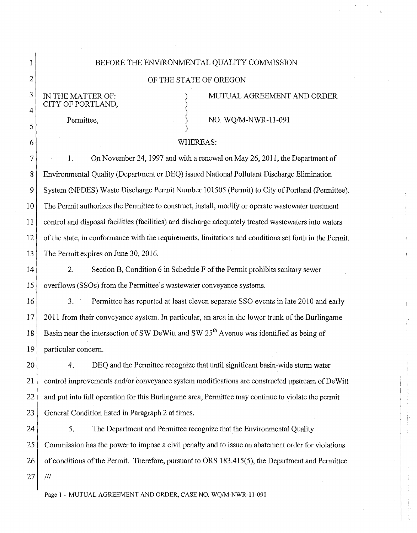| 1              | BEFORE THE ENVIRONMENTAL QUALITY COMMISSION                                                             |
|----------------|---------------------------------------------------------------------------------------------------------|
| $\overline{2}$ | OF THE STATE OF OREGON                                                                                  |
| $\mathfrak{Z}$ | MUTUAL AGREEMENT AND ORDER<br>IN THE MATTER OF:                                                         |
| 4              | CITY OF PORTLAND,<br>Permittee,<br>NO. WQ/M-NWR-11-091                                                  |
| 5              |                                                                                                         |
| 6              | <b>WHEREAS:</b>                                                                                         |
| 7              | On November 24, 1997 and with a renewal on May 26, 2011, the Department of<br>1.                        |
| 8              | Environmental Quality (Department or DEQ) issued National Pollutant Discharge Elimination               |
| 9              | System (NPDES) Waste Discharge Permit Number 101505 (Permit) to City of Portland (Permittee).           |
| $10\,$         | The Permit authorizes the Permittee to construct, install, modify or operate wastewater treatment       |
| 11             | control and disposal facilities (facilities) and discharge adequately treated wastewaters into waters   |
| 12             | of the state, in conformance with the requirements, limitations and conditions set forth in the Permit. |
| 13             | The Permit expires on June 30, 2016.                                                                    |
| 14             | 2.<br>Section B, Condition 6 in Schedule F of the Permit prohibits sanitary sewer                       |
| 15             | overflows (SSOs) from the Permittee's wastewater conveyance systems.                                    |
| 16             | Permittee has reported at least eleven separate SSO events in late 2010 and early<br>3.                 |
| 17             | 2011 from their conveyance system. In particular, an area in the lower trunk of the Burlingame          |
| 18             | Basin near the intersection of SW DeWitt and SW 25 <sup>th</sup> Avenue was identified as being of      |
| 19             | particular concern.                                                                                     |
| 20             | DEQ and the Permittee recognize that until significant basin-wide storm water<br>4.                     |
| 21             | control improvements and/or conveyance system modifications are constructed upstream of DeWitt          |
| 22             | and put into full operation for this Burlingame area, Permittee may continue to violate the permit      |
| 23             | General Condition listed in Paragraph 2 at times.                                                       |
| 24             | 5.<br>The Department and Permittee recognize that the Environmental Quality                             |
| 25             | Commission has the power to impose a civil penalty and to issue an abatement order for violations       |
| 26             | of conditions of the Permit. Therefore, pursuant to ORS 183.415(5), the Department and Permittee        |
| 27             | $^{\prime\prime\prime}$                                                                                 |
|                | Page 1 - MUTUAL AGREEMENT AND ORDER, CASE NO. WQ/M-NWR-11-091                                           |

 $\zeta$ 

I

 $\ddot{\mathrm{i}}$ 计可变

 $\overline{1}$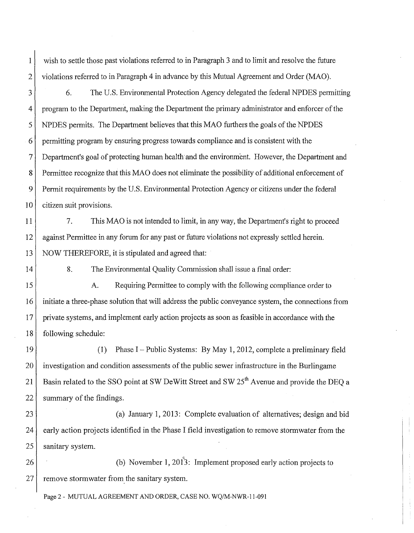1 wish to settle those past violations referred to in Paragraph 3 and to limit and resolve the future 2 violations referred to in Paragraph 4 in advance by this Mutual Agreement and Order (MAO).

3 6. The U.S. Environmental Protection Agency delegated the federal NPDES permitting 4 program to the Department, making the Department the primary administrator and enforcer of the 5 NPDES permits. The Department believes that this MAO furthers the goals of the NPDES 6 permitting program by ensuring progress towards compliance and is consistent with the 7 Department's goal of protecting human health' and the environment. However, the Department and 8 Permittee recognize that this MAO does not eliminate the possibility of additional enforcement of 9 Permit requirements by the U.S. Environmental Protection Agency or citizens under the federal  $10$  citizen suit provisions.

11 12 13 7. This MAO is not intended to limit, in any way, the Department's right to proceed against Permittee in any forum for any past or future violations not expressly settled herein. NOW THEREFORE, it is stipulated and agreed that:

14

8. The Environmental Quality Commission shall issue a final order:

15 16 17 18 A. Requiring Permittee to comply with the following compliance order to initiate a three-phase solution that will address the public conveyance system, the connections from private systems, and implement early action projects as soon as feasible in accordance with the following schedule:

19 (1) Phase I- Public Systems: By May 1, 2012, complete a preliminary field 20 investigation and condition assessments of the public sewer infrastructure in the Burlingame 21 Basin related to the SSO point at SW DeWitt Street and SW  $25^{th}$  Avenue and provide the DEQ a 22 summary of the findings.

23 (a) January 1, 2013: Complete evaluation of alternatives; design and bid 24 early action projects identified in the Phase I field investigation to remove stormwater from the 25 sanitary system.

 $26$  (b) November 1, 2013: Implement proposed early action projects to  $27$  remove stormwater from the sanitary system.

Page 2- MUTUAL AGREEMENT AND ORDER, CASE NO. WQ/M-NWR-11-091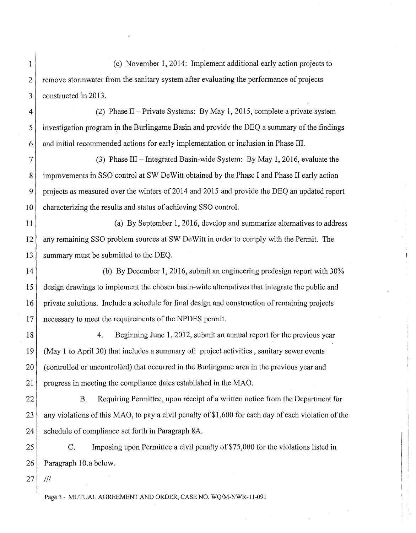1 (c) November 1, 2014: Implement additional early action projects to 2 remove stormwater from the sanitary system after evaluating the performance of projects 3 constructed in 2013.

4 (2) Phase II-Private Systems: By May 1, 2015, complete a private system 5 investigation program in the Burlingame Basin and provide the DEQ a summary of the findings  $6<sup>1</sup>$  and initial recommended actions for early implementation or inclusion in Phase III.

7 (3) Phase III-Integrated Basin-wide System: By May 1, 2016, evaluate the 8 improvements in SSO control at SW De Witt obtained by the Phase I and Phase II early action 9 projects as measured over the winters of2014 and 2015 and provide the DEQ an updated report 10 characterizing the results and status of achieving SSO control.

11 (a) By September 1, 2016, develop and summarize alternatives to address 12 any remaining SSO problem sources at SW DeWitt in order to comply with the Permit. The 13 summary must be submitted to the DEQ.

14 (b) By December 1, 2016, submit an engineering predesign report with 30% 15 design drawings to implement the chosen basin-wide alternatives that integrate the public and 16 private solutions. Include a schedule for final design and construction of remaining projects 17 necessary to meet the requirements of the NPDES permit.

18 4. Beginning June 1, 2012, submit an annual report for the previous year 19 (May 1 to April 30) that includes a summary of: project activities , sanitary sewer events 20 (controlled or uncontrolled) that occurred in the Burlingame area in the previous year and 21 progress in meeting the compliance dates established in the MAO.

22 B. Requiring Permittee, upon receipt of a written notice from the Department for 23 any violations of this MAO, to pay a civil penalty of \$1,600 for each day of each violation of the 24 schedule of compliance set forth in Paragraph 8A.

25 C. Imposing upon Permittee a civil penalty of\$75,000 for the violations listed in  $26$  Paragraph 10.a below.

 $27$  |  $11$ 

Page 3- MUTUAL AGREEMENT AND ORDER, CASE NO. WQ/M-NWR-11-091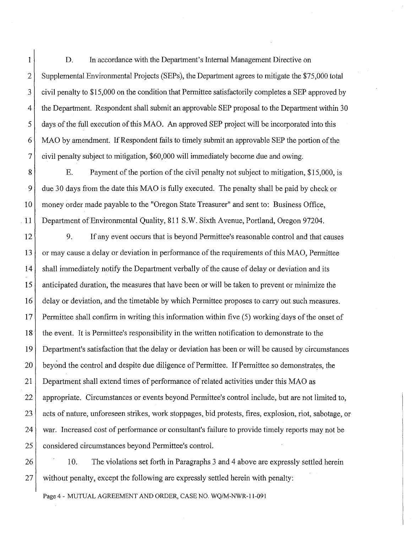1 D. In accordance with the Department's Internal Management Directive on 2 Supplemental Environmental Projects (SEPs), the Department agrees to mitigate the \$75,000 total 3 civil penalty to \$15,000 on the condition that Permittee satisfactorily completes a SEP approved by 4 the Department. Respondent shall submit an approvable SEP proposal to the Department within 30 5 days of the full execution of this MAO. An approved SEP project will be incorporated into this 6 MAO by amendment. If Respondent fails to timely submit an approvable SEP the portion ofthe 7 civil penalty subject to mitigation, \$60,000 will immediately become due and owing.

8 E. Payment of the portion of the civil penalty not subject to mitigation, \$15,000, is 9 due 30 days from the date this MAO is fully executed. The penalty shall be paid by check or 10 money order made payable to the "Oregon State Treasurer" and sent to: Business Office, . 11 Department of Environmental Quality, 811 S.W. Sixth Avenue, Portland, Oregon 97204.

12 9. If any event occurs that is beyond Permittee's reasonable control and that causes 13 or may cause a delay or deviation in performance of the requirements of this MAO, Permittee 14 shall immediately notify the Department verbally of the cause of delay or deviation and its 15 anticipated duration, the measures that have been or will be taken to prevent or minimize the 16 delay or deviation, and the timetable by which Permittee proposes to carry out such measures. 17 Permittee shall confirm in writing this information within five (5) working'days of the onset of 18 the event. It is Permittee's responsibility in the written notification to demonstrate to the 19 Department's satisfaction that the delay or deviation has been or will be caused by circumstances 20 beyond the control and despite due diligence of Permittee. If Permittee so demonstrates, the 21 Department shall extend times of performance of related activities under this MAO as 22 appropriate. Circumstances or events beyond Permittee's control include, but are not limited to, 23 acts of nature, unforeseen strikes, work stoppages, bid protests, fires, explosion, riot, sabotage, or 24 war. Increased cost of performance or consultant's failure to provide timely reports may not be 25 considered circumstances beyond Permittee's control.

26 10. The violations set forth in Paragraphs 3 and 4 above are expressly settled herein  $27$  without penalty, except the following are expressly settled herein with penalty:

Page 4- MUTUAL AGREEMENT AND ORDER, CASE NO. WQ/M-NWR-11-091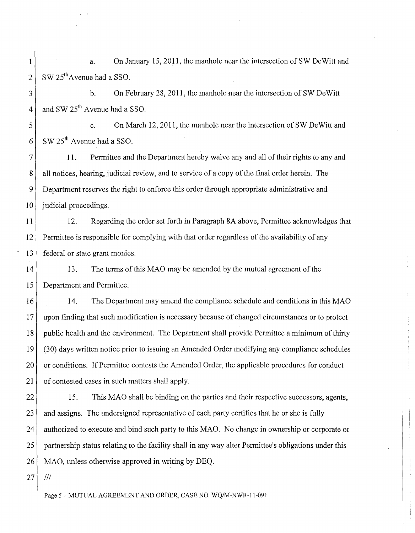1 a. On January 15, 2011, the manhole near the intersection of SW DeWitt and  $2 \times 25^{th}$  Avenue had a SSO.

3 4 b. On February 28, 2011, the manhole near the intersection of SW DeWitt and SW  $25^{th}$  Avenue had a SSO.

5 6 c. On March 12, 2011, the manhole near the intersection of SW DeWitt and  $SW 25<sup>th</sup>$  Avenue had a SSO.

7 8 9 10 11. Permittee and the Department hereby waive any and all of their rights to any and all notices, hearing, judicial review, and to service of a copy of the final order herein. The Department reserves the right to enforce this order through appropriate administrative and judicial proceedings.

11 12 13 12. Regarding the order set forth in Paragraph 8A above, Permittee acknowledges that Permittee is responsible for complying with that order regardless of the availability of any federal or state grant monies.

14 15 13. The terms of this MAO may be amended by the mutual agreement of the Department and Permittee.

16 14. The Department may amend the compliance schedule and conditions in this MAO 17 upon finding that such modification is necessary because of changed circumstances or to protect 18 public health and the environment. The Department shall provide Permittee a minimum of thirty 19 (30) days written notice prior to issuing an Amended Order modifying any compliance schedules 20 or conditions. If Permittee contests the Amended Order, the applicable procedures for conduct 21 of contested cases in such matters shall apply.

22 15. This MAO shall be binding on the parties and their respective successors, agents, 23 and assigns. The undersigned representative of each party certifies that he or she is fully 24 authorized to execute and bind such party to this MAO. No change in ownership or corporate or 25 partnership status relating to the facility shall in any way alter Permittee's obligations under this 26 MAO, unless otherwise approved in writing by DEQ.

 $27$   $11$ 

Page 5- MUTUAL AGREEMENT AND ORDER, CASE NO. WQ/M-NWR-11-091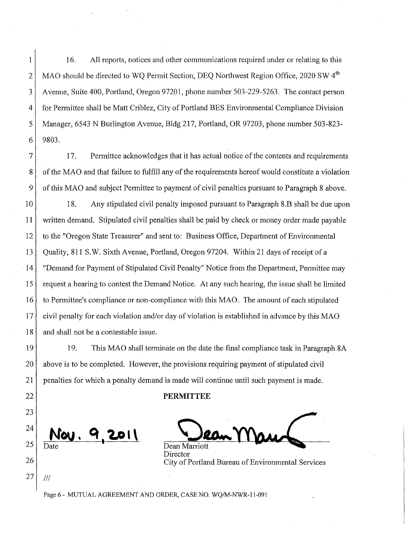1 16. All reports, notices and other communications required under or relating to this 2 MAO should be directed to WQ Permit Section, DEQ Northwest Region Office, 2020 SW 4<sup>th</sup> 3 Avenue, Suite 400, Portland, Oregon 97201, phone number 503-229-5263. The contact person 4 for Permittee shall be Matt Criblez, City of Portland BES Environmental Compliance Division 5 Manager, 6543 N Burlington Avenue, Bldg 217, Portland, OR 97203, phone number 503-823-  $6$ | 9803.

7 17. Pennittee acknowledges that it has actual notice of the contents and requirements 8 of the MAO and that failure to fulfill any of the requirements hereof would constitute a violation 9 of this MAO and subject Permittee to payment of civil penalties pursuant to Paragraph 8 above.

10 18. Any stipulated civil penalty imposed pursuant to Paragraph 8.B shall be due upon 11 written demand. Stipulated civil penalties shall be paid by check or money order made payable 12 to the "Oregon State Treasurer" and sent to: Business Office, Department of Environmental 13 Quality, 811 S.W. Sixth Avenue, Portland, Oregon 97204. Within 21 days of receipt of a 14 "Demand for Payment of Stipulated Civil Penalty" Notice from the Department, Permittee may 15 request a hearing to contest the Demand Notice. At any such hearing, the issue shall be limited 16 to Permittee's compliance or non-compliance with this MAO. The amount of each stipulated 17 civil penalty for each violation and/or day of violation is established in advance by this MAO 18 and shall not be a contestable issue.

19 19. This MAO shall terminate on the date the final compliance task in Paragraph 8A 20 above is to be completed. However, the provisions requiring payment of stipulated civil 21 penalties for which a penalty demand is made will continue until such payment is made.

## 22 **PERMITTEE**

<u>au. 9,2011</u>

Dean Marriott Director 26 City of Portland Bureau of Environmental Services

Page 6- MUTUAL AGREEMENT AND ORDER, CASE NO. WQ/M-NWR-11-091